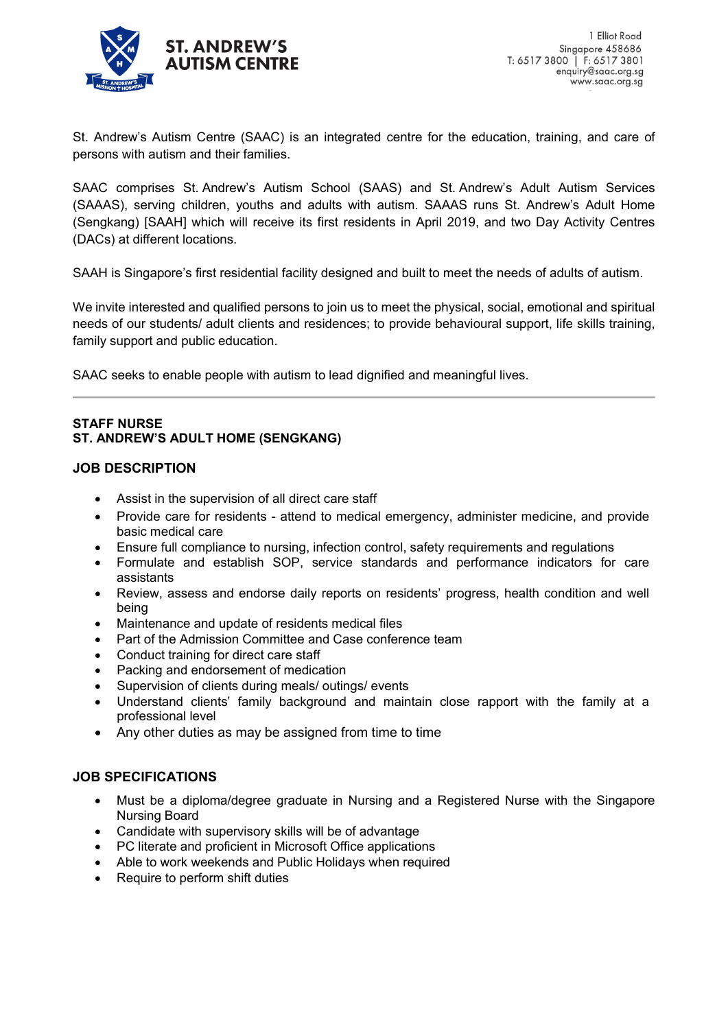

St. Andrew's Autism Centre (SAAC) is an integrated centre for the education, training, and care of persons with autism and their families.

SAAC comprises St. Andrew's Autism School (SAAS) and St. Andrew's Adult Autism Services (SAAAS), serving children, youths and adults with autism. SAAAS runs St. Andrew's Adult Home (Sengkang) [SAAH] which will receive its first residents in April 2019, and two Day Activity Centres (DACs) at different locations.

SAAH is Singapore's first residential facility designed and built to meet the needs of adults of autism.

We invite interested and qualified persons to join us to meet the physical, social, emotional and spiritual needs of our students/ adult clients and residences; to provide behavioural support, life skills training, family support and public education.

SAAC seeks to enable people with autism to lead dignified and meaningful lives.

## **STAFF NURSE ST. ANDREW'S ADULT HOME (SENGKANG)**

## **JOB DESCRIPTION**

- Assist in the supervision of all direct care staff
- Provide care for residents attend to medical emergency, administer medicine, and provide basic medical care
- Ensure full compliance to nursing, infection control, safety requirements and regulations
- Formulate and establish SOP, service standards and performance indicators for care assistants
- Review, assess and endorse daily reports on residents' progress, health condition and well being
- Maintenance and update of residents medical files
- Part of the Admission Committee and Case conference team
- Conduct training for direct care staff
- Packing and endorsement of medication
- Supervision of clients during meals/ outings/ events
- Understand clients' family background and maintain close rapport with the family at a professional level
- Any other duties as may be assigned from time to time

## **JOB SPECIFICATIONS**

- Must be a diploma/degree graduate in Nursing and a Registered Nurse with the Singapore Nursing Board
- Candidate with supervisory skills will be of advantage
- PC literate and proficient in Microsoft Office applications
- Able to work weekends and Public Holidays when required
- Require to perform shift duties